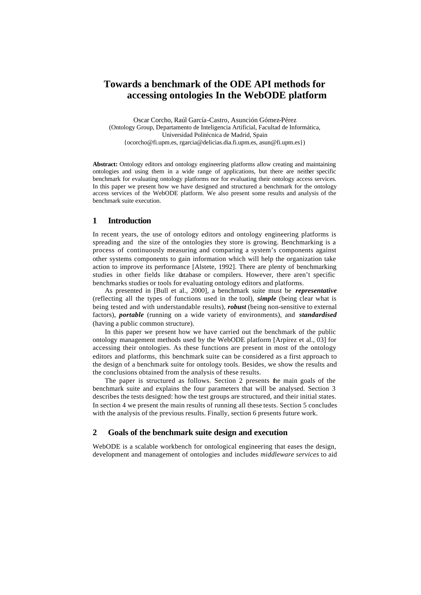# **Towards a benchmark of the ODE API methods for accessing ontologies In the WebODE platform**

Oscar Corcho, Raúl García-Castro, Asunción Gómez-Pérez (Ontology Group, Departamento de Inteligencia Artificial, Facultad de Informática, Universidad Politécnica de Madrid, Spain {ocorcho@fi.upm.es, rgarcia@delicias.dia.fi.upm.es, asun@fi.upm.es})

**Abstract:** Ontology editors and ontology engineering platforms allow creating and maintaining ontologies and using them in a wide range of applications, but there are neither specific benchmark for evaluating ontology platforms nor for evaluating their ontology access services. In this paper we present how we have designed and structured a benchmark for the ontology access services of the WebODE platform. We also present some results and analysis of the benchmark suite execution.

# **1 Introduction**

In recent years, the use of ontology editors and ontology engineering platforms is spreading and the size of the ontologies they store is growing. Benchmarking is a process of continuously measuring and comparing a system's components against other systems components to gain information which will help the organization take action to improve its performance [Alstete, 1992]. There are plenty of benchmarking studies in other fields like database or compilers. However, there aren't specific benchmarks studies or tools for evaluating ontology editors and platforms.

As presented in [Bull et al., 2000], a benchmark suite must be *representative* (reflecting all the types of functions used in the tool), *simple* (being clear what is being tested and with understandable results), *robust* (being non-sensitive to external factors), *portable* (running on a wide variety of environments), and *standardised* (having a public common structure).

In this paper we present how we have carried out the benchmark of the public ontology management methods used by the WebODE platform [Arpírez et al., 03] for accessing their ontologies. As these functions are present in most of the ontology editors and platforms, this benchmark suite can be considered as a first approach to the design of a benchmark suite for ontology tools. Besides, we show the results and the conclusions obtained from the analysis of these results.

The paper is structured as follows. Section 2 presents the main goals of the benchmark suite and explains the four parameters that will be analysed. Section 3 describes the tests designed: how the test groups are structured, and their initial states. In section 4 we present the main results of running all these tests. Section 5 concludes with the analysis of the previous results. Finally, section 6 presents future work.

## **2 Goals of the benchmark suite design and execution**

WebODE is a scalable workbench for ontological engineering that eases the design, development and management of ontologies and includes *middleware services* to aid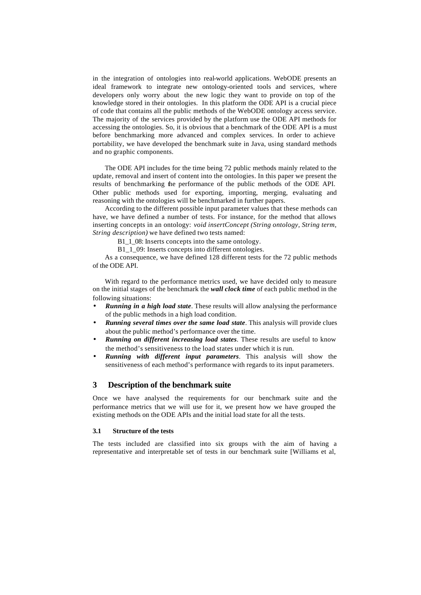in the integration of ontologies into real-world applications. WebODE presents an ideal framework to integrate new ontology-oriented tools and services, where developers only worry about the new logic they want to provide on top of the knowledge stored in their ontologies. In this platform the ODE API is a crucial piece of code that contains all the public methods of the WebODE ontology access service. The majority of the services provided by the platform use the ODE API methods for accessing the ontologies. So, it is obvious that a benchmark of the ODE API is a must before benchmarking more advanced and complex services. In order to achieve portability, we have developed the benchmark suite in Java, using standard methods and no graphic components.

The ODE API includes for the time being 72 public methods mainly related to the update, removal and insert of content into the ontologies. In this paper we present the results of benchmarking the performance of the public methods of the ODE API. Other public methods used for exporting, importing, merging, evaluating and reasoning with the ontologies will be benchmarked in further papers.

According to the different possible input parameter values that these methods can have, we have defined a number of tests. For instance, for the method that allows inserting concepts in an ontology: *void insertConcept (String ontology, String term, String description)* we have defined two tests named:

B1\_1\_08: Inserts concepts into the same ontology.

B1<sup>1</sup>09: Inserts concepts into different ontologies.

As a consequence, we have defined 128 different tests for the 72 public methods of the ODE API.

With regard to the performance metrics used, we have decided only to measure on the initial stages of the benchmark the *wall clock time* of each public method in the following situations:

- *Running in a high load state*. These results will allow analysing the performance of the public methods in a high load condition.
- *Running several times over the same load state*. This analysis will provide clues about the public method's performance over the time.
- *Running on different increasing load states*. These results are useful to know the method's sensitiveness to the load states under which it is run.
- *Running with different input parameters*. This analysis will show the sensitiveness of each method's performance with regards to its input parameters.

## **3 Description of the benchmark suite**

Once we have analysed the requirements for our benchmark suite and the performance metrics that we will use for it, we present how we have grouped the existing methods on the ODE APIs and the initial load state for all the tests.

#### **3.1 Structure of the tests**

The tests included are classified into six groups with the aim of having a representative and interpretable set of tests in our benchmark suite [Williams et al,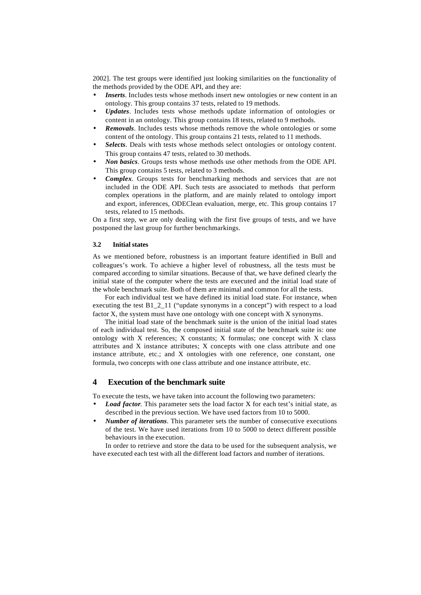2002]. The test groups were identified just looking similarities on the functionality of the methods provided by the ODE API, and they are:

- **Inserts**. Includes tests whose methods insert new ontologies or new content in an ontology. This group contains 37 tests, related to 19 methods.
- *Updates*. Includes tests whose methods update information of ontologies or content in an ontology. This group contains 18 tests, related to 9 methods.
- *Removals*. Includes tests whose methods remove the whole ontologies or some content of the ontology. This group contains 21 tests, related to 11 methods.
- *Selects*. Deals with tests whose methods select ontologies or ontology content. This group contains 47 tests, related to 30 methods.
- *Non basics*. Groups tests whose methods use other methods from the ODE API. This group contains 5 tests, related to 3 methods.
- *Complex*. Groups tests for benchmarking methods and services that are not included in the ODE API. Such tests are associated to methods that perform complex operations in the platform, and are mainly related to ontology import and export, inferences, ODEClean evaluation, merge, etc. This group contains 17 tests, related to 15 methods.

On a first step, we are only dealing with the first five groups of tests, and we have postponed the last group for further benchmarkings.

### **3.2 Initial states**

As we mentioned before, robustness is an important feature identified in Bull and colleagues's work. To achieve a higher level of robustness, all the tests must be compared according to similar situations. Because of that, we have defined clearly the initial state of the computer where the tests are executed and the initial load state of the whole benchmark suite. Both of them are minimal and common for all the tests.

For each individual test we have defined its initial load state. For instance, when executing the test B1\_2\_11 ("update synonyms in a concept") with respect to a load factor X, the system must have one ontology with one concept with X synonyms.

The initial load state of the benchmark suite is the union of the initial load states of each individual test. So, the composed initial state of the benchmark suite is: one ontology with X references; X constants; X formulas; one concept with X class attributes and X instance attributes; X concepts with one class attribute and one instance attribute, etc.; and X ontologies with one reference, one constant, one formula, two concepts with one class attribute and one instance attribute, etc.

## **4 Execution of the benchmark suite**

To execute the tests, we have taken into account the following two parameters:

- *Load factor*. This parameter sets the load factor X for each test's initial state, as described in the previous section. We have used factors from 10 to 5000.
- *Number of iterations*. This parameter sets the number of consecutive executions of the test. We have used iterations from 10 to 5000 to detect different possible behaviours in the execution.

In order to retrieve and store the data to be used for the subsequent analysis, we have executed each test with all the different load factors and number of iterations.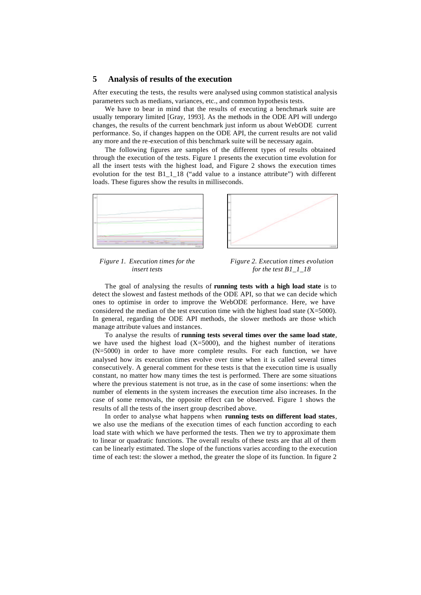#### **5 Analysis of results of the execution**

After executing the tests, the results were analysed using common statistical analysis parameters such as medians, variances, etc., and common hypothesis tests.

We have to bear in mind that the results of executing a benchmark suite are usually temporary limited [Gray, 1993]. As the methods in the ODE API will undergo changes, the results of the current benchmark just inform us about WebODE current performance. So, if changes happen on the ODE API, the current results are not valid any more and the re-execution of this benchmark suite will be necessary again.

The following figures are samples of the different types of results obtained through the execution of the tests. Figure 1 presents the execution time evolution for all the insert tests with the highest load, and Figure 2 shows the execution times evolution for the test B1\_1\_18 ("add value to a instance attribute") with different loads. These figures show the results in milliseconds.





*Figure 1. Execution times for the insert tests* 

*Figure 2. Execution times evolution for the test B1\_1\_18*

The goal of analysing the results of **running tests with a high load state** is to detect the slowest and fastest methods of the ODE API, so that we can decide which ones to optimise in order to improve the WebODE performance. Here, we have considered the median of the test execution time with the highest load state  $(X=5000)$ . In general, regarding the ODE API methods, the slower methods are those which manage attribute values and instances.

To analyse the results of **running tests several times over the same load state**, we have used the highest load  $(X=5000)$ , and the highest number of iterations (N=5000) in order to have more complete results. For each function, we have analysed how its execution times evolve over time when it is called several times consecutively. A general comment for these tests is that the execution time is usually constant, no matter how many times the test is performed. There are some situations where the previous statement is not true, as in the case of some insertions: when the number of elements in the system increases the execution time also increases. In the case of some removals, the opposite effect can be observed. Figure 1 shows the results of all the tests of the insert group described above.

In order to analyse what happens when **running tests on different load states**, we also use the medians of the execution times of each function according to each load state with which we have performed the tests. Then we try to approximate them to linear or quadratic functions. The overall results of these tests are that all of them can be linearly estimated. The slope of the functions varies according to the execution time of each test: the slower a method, the greater the slope of its function. In figure 2